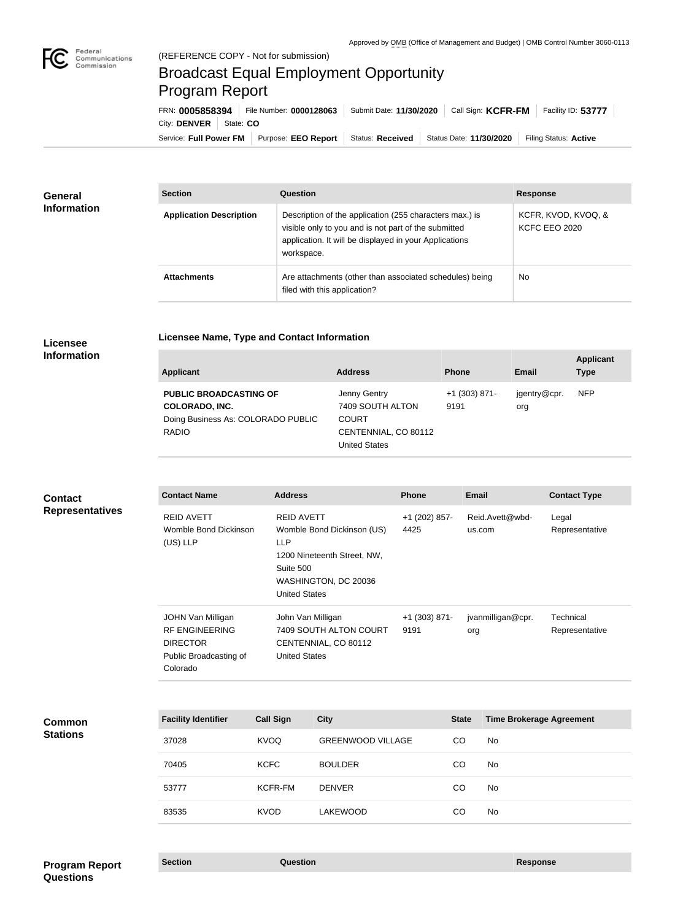## Broadcast Equal Employment Opportunity Program Report

Service: Full Power FM | Purpose: EEO Report | Status: Received | Status Date: 11/30/2020 | Filing Status: Active City: **DENVER** | State: CO FRN: **0005858394** File Number: **0000128063** Submit Date: **11/30/2020** Call Sign: **KCFR-FM** Facility ID: **53777**

| <b>General</b><br><b>Information</b> | <b>Section</b>                 | Question                                                                                                                                                                                | <b>Response</b>                      |
|--------------------------------------|--------------------------------|-----------------------------------------------------------------------------------------------------------------------------------------------------------------------------------------|--------------------------------------|
|                                      | <b>Application Description</b> | Description of the application (255 characters max.) is<br>visible only to you and is not part of the submitted<br>application. It will be displayed in your Applications<br>workspace. | KCFR, KVOD, KVOQ, &<br>KCFC EEO 2020 |
|                                      | <b>Attachments</b>             | Are attachments (other than associated schedules) being<br>filed with this application?                                                                                                 | No.                                  |

## **Licensee Information**

|  |  | <b>Licensee Name, Type and Contact Information</b> |
|--|--|----------------------------------------------------|

| Applicant                                                                                                    | <b>Address</b>                                                                                   | <b>Phone</b>            | <b>Email</b>        | <b>Applicant</b><br><b>Type</b> |
|--------------------------------------------------------------------------------------------------------------|--------------------------------------------------------------------------------------------------|-------------------------|---------------------|---------------------------------|
| <b>PUBLIC BROADCASTING OF</b><br><b>COLORADO, INC.</b><br>Doing Business As: COLORADO PUBLIC<br><b>RADIO</b> | Jenny Gentry<br>7409 SOUTH ALTON<br><b>COURT</b><br>CENTENNIAL, CO 80112<br><b>United States</b> | $+1$ (303) 871-<br>9191 | jgentry@cpr.<br>org | <b>NFP</b>                      |

| <b>Contact</b><br><b>Representatives</b> | <b>Contact Name</b>                                                                                 | <b>Address</b>                                                                                                                                            | <b>Phone</b>            | <b>Email</b>              | <b>Contact Type</b>         |
|------------------------------------------|-----------------------------------------------------------------------------------------------------|-----------------------------------------------------------------------------------------------------------------------------------------------------------|-------------------------|---------------------------|-----------------------------|
|                                          | <b>REID AVETT</b><br>Womble Bond Dickinson<br>$(US)$ LLP                                            | <b>REID AVETT</b><br>Womble Bond Dickinson (US)<br><b>LLP</b><br>1200 Nineteenth Street, NW,<br>Suite 500<br>WASHINGTON, DC 20036<br><b>United States</b> | +1 (202) 857-<br>4425   | Reid.Avett@wbd-<br>us.com | Legal<br>Representative     |
|                                          | JOHN Van Milligan<br><b>RF ENGINEERING</b><br><b>DIRECTOR</b><br>Public Broadcasting of<br>Colorado | John Van Milligan<br>7409 SOUTH ALTON COURT<br>CENTENNIAL, CO 80112<br><b>United States</b>                                                               | $+1$ (303) 871-<br>9191 | jvanmilligan@cpr.<br>org  | Technical<br>Representative |

| <b>Common</b><br><b>Stations</b> | <b>Facility Identifier</b> | <b>Call Sign</b> | <b>City</b>              | <b>State</b> | <b>Time Brokerage Agreement</b> |
|----------------------------------|----------------------------|------------------|--------------------------|--------------|---------------------------------|
|                                  | 37028                      | KVOQ             | <b>GREENWOOD VILLAGE</b> | CO           | No                              |
|                                  | 70405                      | <b>KCFC</b>      | <b>BOULDER</b>           | CO           | No                              |
|                                  | 53777                      | <b>KCFR-FM</b>   | <b>DENVER</b>            | <b>CO</b>    | No                              |
|                                  | 83535                      | <b>KVOD</b>      | <b>LAKEWOOD</b>          | CO           | No                              |